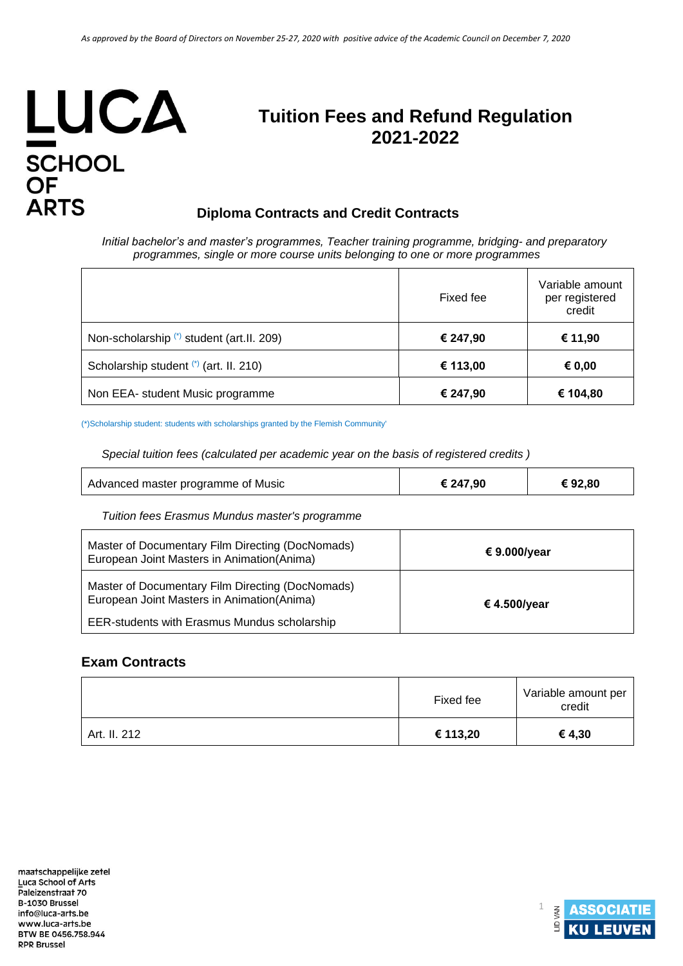# LUCA SCHOOL<br>OF<br>ARTS

## **Tuition Fees and Refund Regulation 2021**‐**2022**

### **Diploma Contracts and Credit Contracts**

*Initial bachelor's and master's programmes, Teacher training programme, bridging- and preparatory programmes, single or more course units belonging to one or more programmes*

|                                            | Fixed fee | Variable amount<br>per registered<br>credit |
|--------------------------------------------|-----------|---------------------------------------------|
| Non-scholarship (*) student (art. II. 209) | € 247,90  | € 11,90                                     |
| Scholarship student (*) (art. II. 210)     | € 113,00  | € 0,00                                      |
| Non EEA- student Music programme           | € 247,90  | € 104,80                                    |

(\*)Scholarship student: students with scholarships granted by the Flemish Community'

*Special tuition fees (calculated per academic year on the basis of registered credits )*

| Advanced master programme of Music | € 247,90 | €92,80 |
|------------------------------------|----------|--------|
|------------------------------------|----------|--------|

*Tuition fees Erasmus Mundus master's programme* 

| Master of Documentary Film Directing (DocNomads)<br>European Joint Masters in Animation (Anima) | € 9.000/year |
|-------------------------------------------------------------------------------------------------|--------------|
| Master of Documentary Film Directing (DocNomads)<br>European Joint Masters in Animation (Anima) | € 4.500/year |
| <b>EER-students with Erasmus Mundus scholarship</b>                                             |              |

#### **Exam Contracts**

|              | Fixed fee | Variable amount per<br>credit |
|--------------|-----------|-------------------------------|
| Art. II. 212 | € 113,20  | € 4,30                        |